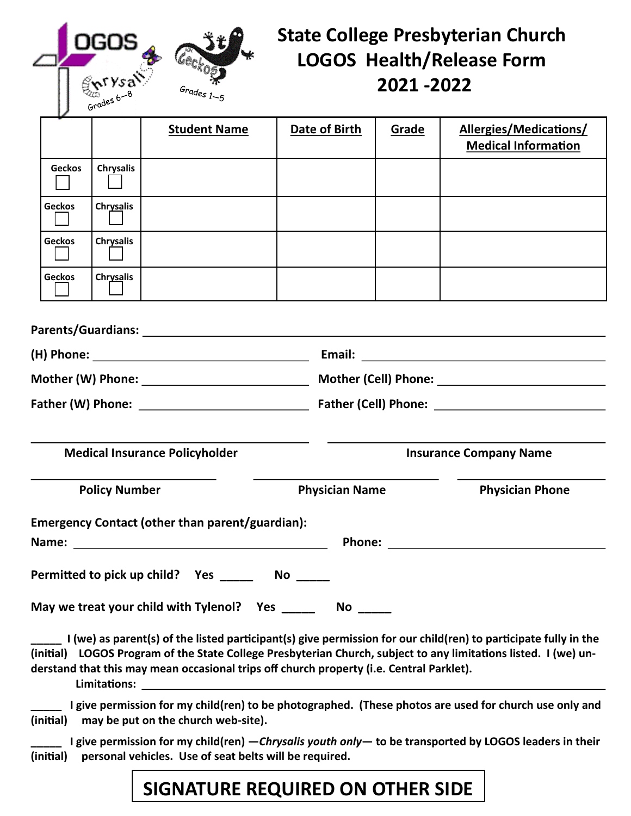| $\frac{\mathbf{r}^{\mathsf{r}}\mathsf{y}\mathsf{s}\mathsf{a}}{\mathsf{s}^{\mathsf{r}}\mathsf{s}\mathsf{s}^{\mathsf{s}}\mathsf{s}}$ | Grades 1 $-5$ |
|------------------------------------------------------------------------------------------------------------------------------------|---------------|

# **State College Presbyterian Church LOGOS Health/Release Form 2021 -2022**

|                                       | <b>PLA</b>       |                                                 |               |                               |                                                                                                                                                                                                                                      |  |
|---------------------------------------|------------------|-------------------------------------------------|---------------|-------------------------------|--------------------------------------------------------------------------------------------------------------------------------------------------------------------------------------------------------------------------------------|--|
|                                       |                  | <b>Student Name</b>                             | Date of Birth | Grade                         | Allergies/Medications/<br><b>Medical Information</b>                                                                                                                                                                                 |  |
| <b>Geckos</b>                         | <b>Chrysalis</b> |                                                 |               |                               |                                                                                                                                                                                                                                      |  |
| <b>Geckos</b>                         | Chrysalis        |                                                 |               |                               |                                                                                                                                                                                                                                      |  |
| <b>Geckos</b>                         | <b>Chrysalis</b> |                                                 |               |                               |                                                                                                                                                                                                                                      |  |
| <b>Geckos</b>                         | Chrysalis        |                                                 |               |                               |                                                                                                                                                                                                                                      |  |
|                                       |                  |                                                 |               |                               |                                                                                                                                                                                                                                      |  |
|                                       |                  |                                                 |               |                               |                                                                                                                                                                                                                                      |  |
|                                       |                  |                                                 |               |                               |                                                                                                                                                                                                                                      |  |
|                                       |                  |                                                 |               |                               |                                                                                                                                                                                                                                      |  |
| <b>Medical Insurance Policyholder</b> |                  |                                                 |               | <b>Insurance Company Name</b> |                                                                                                                                                                                                                                      |  |
| <b>Policy Number</b>                  |                  | <b>Physician Name</b>                           |               | <b>Physician Phone</b>        |                                                                                                                                                                                                                                      |  |
|                                       |                  | Emergency Contact (other than parent/guardian): |               |                               | Phone: <u>with the contract of the contract of the contract of the contract of the contract of the contract of the contract of the contract of the contract of the contract of the contract of the contract of the contract of t</u> |  |
|                                       |                  | Permitted to pick up child? Yes No              |               |                               |                                                                                                                                                                                                                                      |  |
|                                       |                  | May we treat your child with Tylenol? Yes _____ |               |                               |                                                                                                                                                                                                                                      |  |

**\_\_\_\_\_ I (we) as parent(s) of the listed participant(s) give permission for our child(ren) to participate fully in the (initial) LOGOS Program of the State College Presbyterian Church, subject to any limitations listed. I (we) understand that this may mean occasional trips off church property (i.e. Central Parklet). Limitations:** 

**\_\_\_\_\_ I give permission for my child(ren) to be photographed. (These photos are used for church use only and (initial) may be put on the church web-site).**

**\_\_\_\_\_ I give permission for my child(ren) —***Chrysalis youth only***— to be transported by LOGOS leaders in their (initial) personal vehicles. Use of seat belts will be required.**

## **SIGNATURE REQUIRED ON OTHER SIDE**